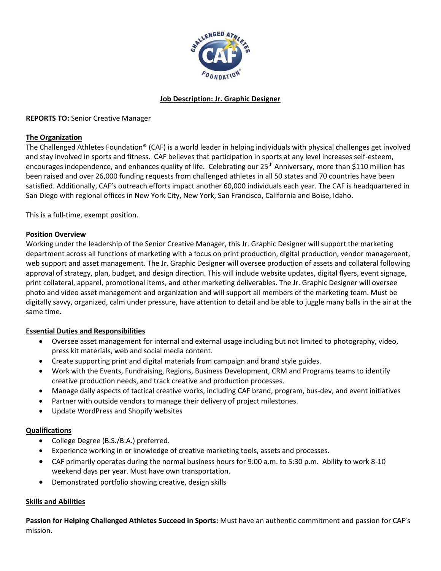

# **Job Description: Jr. Graphic Designer**

### **REPORTS TO:** Senior Creative Manager

### **The Organization**

The Challenged Athletes Foundation® (CAF) is a world leader in helping individuals with physical challenges get involved and stay involved in sports and fitness. CAF believes that participation in sports at any level increases self-esteem, encourages independence, and enhances quality of life. Celebrating our 25<sup>th</sup> Anniversary, more than \$110 million has been raised and over 26,000 funding requests from challenged athletes in all 50 states and 70 countries have been satisfied. Additionally, CAF's outreach efforts impact another 60,000 individuals each year. The CAF is headquartered in San Diego with regional offices in New York City, New York, San Francisco, California and Boise, Idaho.

This is a full-time, exempt position.

### **Position Overview**

Working under the leadership of the Senior Creative Manager, this Jr. Graphic Designer will support the marketing department across all functions of marketing with a focus on print production, digital production, vendor management, web support and asset management. The Jr. Graphic Designer will oversee production of assets and collateral following approval of strategy, plan, budget, and design direction. This will include website updates, digital flyers, event signage, print collateral, apparel, promotional items, and other marketing deliverables. The Jr. Graphic Designer will oversee photo and video asset management and organization and will support all members of the marketing team. Must be digitally savvy, organized, calm under pressure, have attention to detail and be able to juggle many balls in the air at the same time.

# **Essential Duties and Responsibilities**

- Oversee asset management for internal and external usage including but not limited to photography, video, press kit materials, web and social media content.
- Create supporting print and digital materials from campaign and brand style guides.
- Work with the Events, Fundraising, Regions, Business Development, CRM and Programs teams to identify creative production needs, and track creative and production processes.
- Manage daily aspects of tactical creative works, including CAF brand, program, bus-dev, and event initiatives
- Partner with outside vendors to manage their delivery of project milestones.
- Update WordPress and Shopify websites

### **Qualifications**

- College Degree (B.S./B.A.) preferred.
- Experience working in or knowledge of creative marketing tools, assets and processes.
- CAF primarily operates during the normal business hours for 9:00 a.m. to 5:30 p.m. Ability to work 8-10 weekend days per year. Must have own transportation.
- Demonstrated portfolio showing creative, design skills

### **Skills and Abilities**

**Passion for Helping Challenged Athletes Succeed in Sports:** Must have an authentic commitment and passion for CAF's mission.